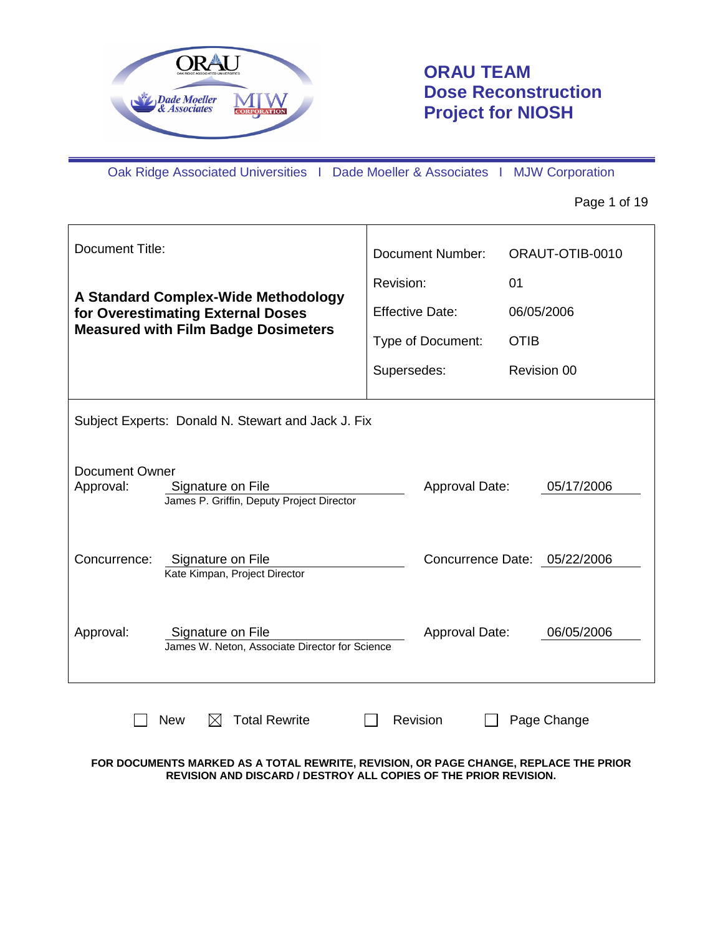

# **ORAU TEAM Dose Reconstruction Project for NIOSH**

Oak Ridge Associated Universities I Dade Moeller & Associates I MJW Corporation

Page 1 of 19

| <b>Document Title:</b>                                                                               | <b>Document Number:</b> | ORAUT-OTIB-0010              |  |
|------------------------------------------------------------------------------------------------------|-------------------------|------------------------------|--|
|                                                                                                      | Revision:               | 01                           |  |
| A Standard Complex-Wide Methodology<br>for Overestimating External Doses                             | <b>Effective Date:</b>  | 06/05/2006                   |  |
| <b>Measured with Film Badge Dosimeters</b>                                                           | Type of Document:       | <b>OTIB</b>                  |  |
|                                                                                                      | Supersedes:             | Revision 00                  |  |
| Subject Experts: Donald N. Stewart and Jack J. Fix                                                   |                         |                              |  |
| <b>Document Owner</b><br>Approval:<br>Signature on File<br>James P. Griffin, Deputy Project Director | Approval Date:          | 05/17/2006                   |  |
| Concurrence:<br>Signature on File<br>Kate Kimpan, Project Director                                   |                         | Concurrence Date: 05/22/2006 |  |
| Approval:<br>Signature on File<br>James W. Neton, Associate Director for Science                     | Approval Date:          | 06/05/2006                   |  |
| <b>Total Rewrite</b><br><b>Revision</b><br><b>New</b><br>Page Change<br>IХI                          |                         |                              |  |

### **FOR DOCUMENTS MARKED AS A TOTAL REWRITE, REVISION, OR PAGE CHANGE, REPLACE THE PRIOR REVISION AND DISCARD / DESTROY ALL COPIES OF THE PRIOR REVISION.**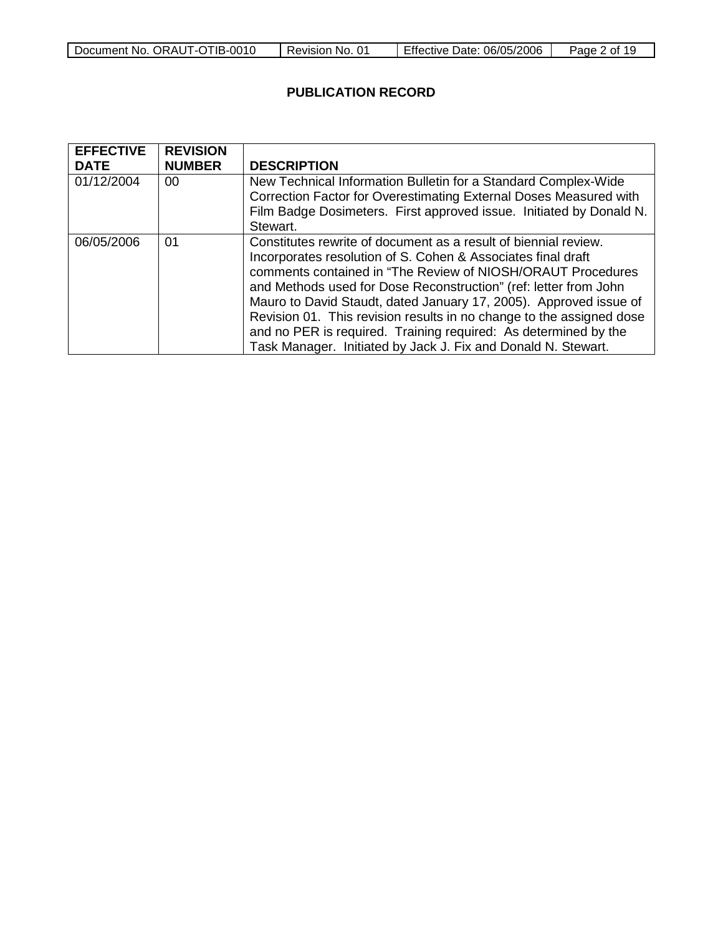| Document No. ORAUT-OTIB-0010 | ⊦No. 01  | <b>Effective Date:</b> | Page  |
|------------------------------|----------|------------------------|-------|
|                              | Revision | 06/05/2006             | of 19 |

## **PUBLICATION RECORD**

| <b>EFFECTIVE</b><br><b>DATE</b> | <b>REVISION</b><br><b>NUMBER</b> | <b>DESCRIPTION</b>                                                                                                                                                                                                                                                                                                                                                                                                                                                                                                                                  |
|---------------------------------|----------------------------------|-----------------------------------------------------------------------------------------------------------------------------------------------------------------------------------------------------------------------------------------------------------------------------------------------------------------------------------------------------------------------------------------------------------------------------------------------------------------------------------------------------------------------------------------------------|
| 01/12/2004                      | 00                               | New Technical Information Bulletin for a Standard Complex-Wide<br>Correction Factor for Overestimating External Doses Measured with<br>Film Badge Dosimeters. First approved issue. Initiated by Donald N.<br>Stewart.                                                                                                                                                                                                                                                                                                                              |
| 06/05/2006                      | 01                               | Constitutes rewrite of document as a result of biennial review.<br>Incorporates resolution of S. Cohen & Associates final draft<br>comments contained in "The Review of NIOSH/ORAUT Procedures<br>and Methods used for Dose Reconstruction" (ref: letter from John<br>Mauro to David Staudt, dated January 17, 2005). Approved issue of<br>Revision 01. This revision results in no change to the assigned dose<br>and no PER is required. Training required: As determined by the<br>Task Manager. Initiated by Jack J. Fix and Donald N. Stewart. |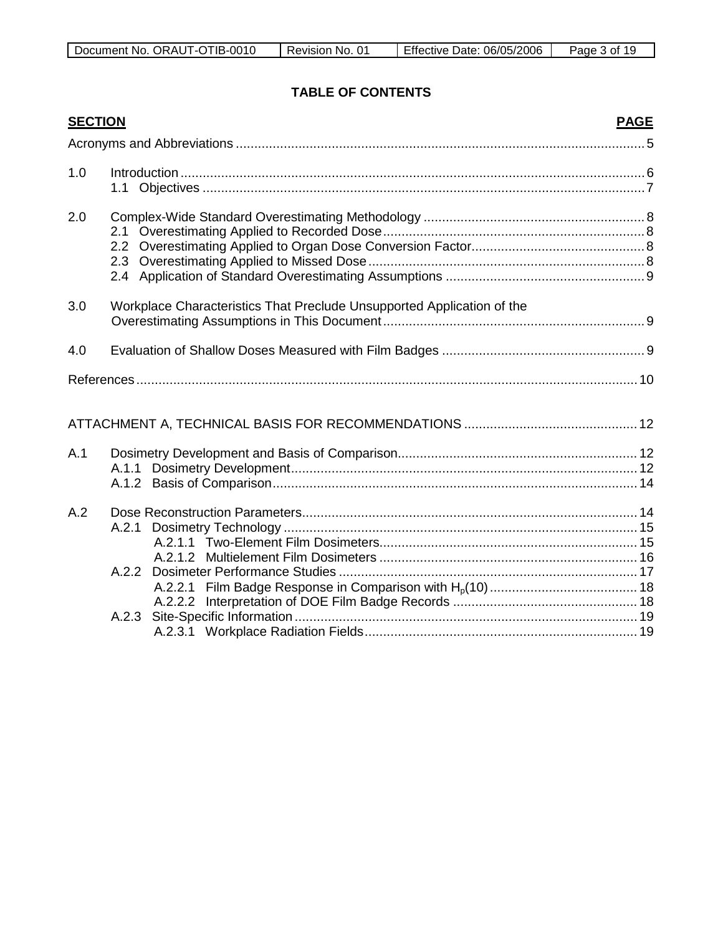| Document No.<br>0010-<br>⊺IB-∖<br>ORAUT-OT | No.<br>Revision | 06/05/2006<br>Effective Date: | Pane<br>Ωt<br>. . |
|--------------------------------------------|-----------------|-------------------------------|-------------------|

# **TABLE OF CONTENTS**

| <b>SECTION</b> | <b>PAGE</b>                                                            |  |
|----------------|------------------------------------------------------------------------|--|
|                |                                                                        |  |
| 1.0            |                                                                        |  |
| 2.0            |                                                                        |  |
| 3.0            | Workplace Characteristics That Preclude Unsupported Application of the |  |
| 4.0            |                                                                        |  |
|                |                                                                        |  |
|                |                                                                        |  |
| A.1            |                                                                        |  |
| A.2            |                                                                        |  |
|                | A.2.2.2<br>A.2.3                                                       |  |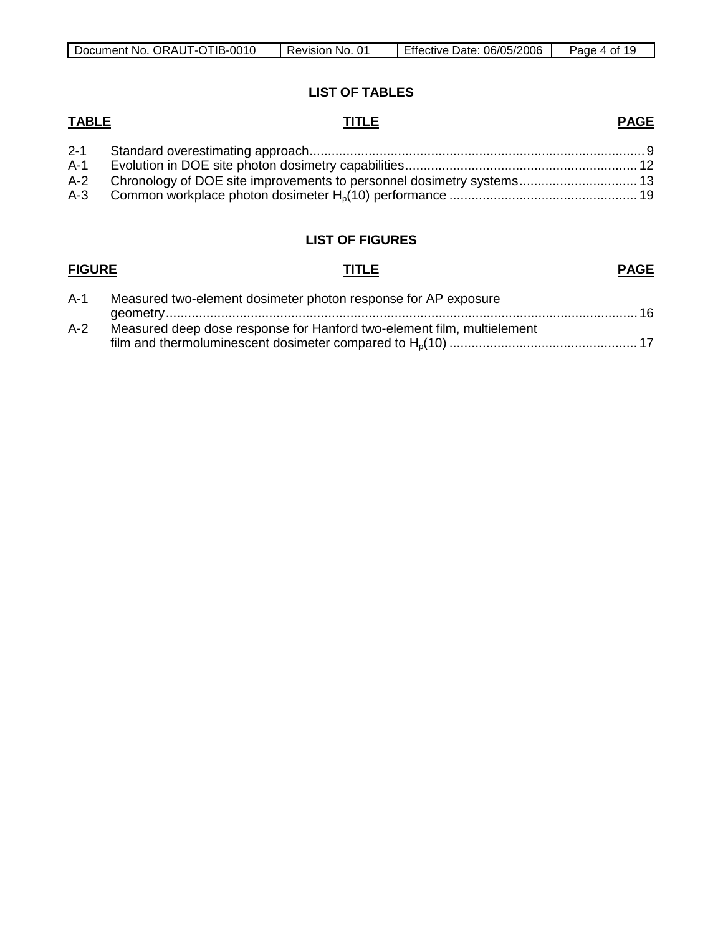| Document No.<br>. ORAUT-OTIB-0010 | 01<br>No.<br>Revision | <b>Effective Date:</b><br>06/05/2006 | 19.<br>Page<br>- of<br>$\prime$ |
|-----------------------------------|-----------------------|--------------------------------------|---------------------------------|

### **LIST OF TABLES**

### **TABLE TITLE PAGE**

| $A-1$ |                                                                           |  |
|-------|---------------------------------------------------------------------------|--|
|       | A-2 Chronology of DOE site improvements to personnel dosimetry systems 13 |  |
|       |                                                                           |  |

### **LIST OF FIGURES**

### **FIGURE TITLE** A-1 Measured two-element dosimeter photon response for AP exposure geometry................................................................................................................................ 16 **PAGE** A-2 Measured deep dose response for Hanford two-element film, multielement film and thermoluminescent dosimeter compared to Hp(10) ................................................... 17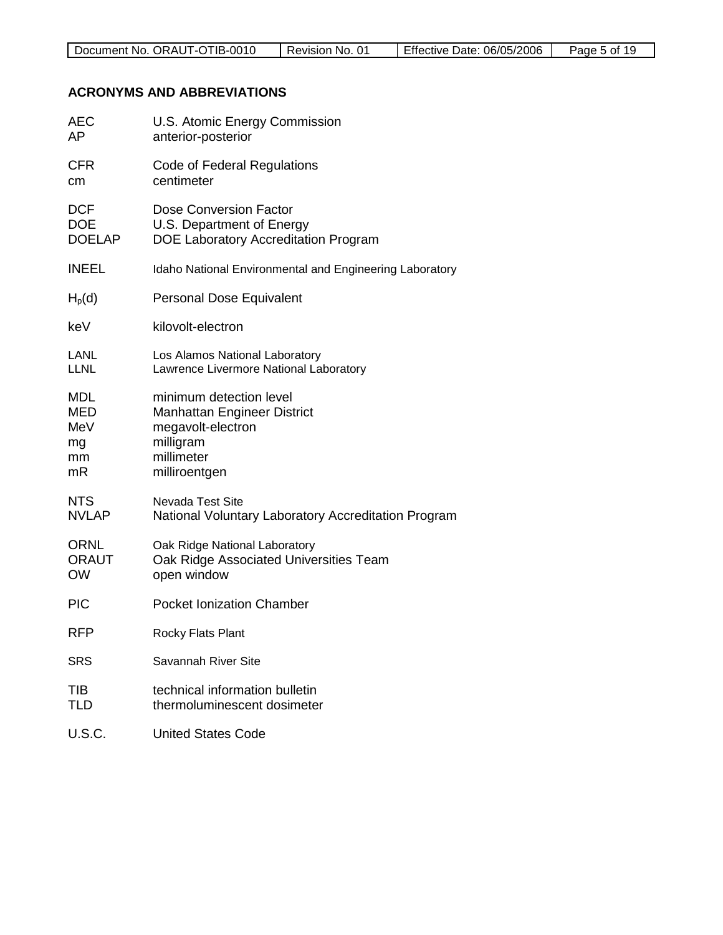## **ACRONYMS AND ABBREVIATIONS**

| AEC           | U.S. Atomic Energy Commission                           |
|---------------|---------------------------------------------------------|
| AP            | anterior-posterior                                      |
| <b>CFR</b>    | Code of Federal Regulations                             |
| cm            | centimeter                                              |
| <b>DCF</b>    | Dose Conversion Factor                                  |
| <b>DOE</b>    | U.S. Department of Energy                               |
| <b>DOELAP</b> | DOE Laboratory Accreditation Program                    |
| <b>INEEL</b>  | Idaho National Environmental and Engineering Laboratory |
| $H_p(d)$      | Personal Dose Equivalent                                |
| keV           | kilovolt-electron                                       |
| LANL          | Los Alamos National Laboratory                          |
| <b>LLNL</b>   | Lawrence Livermore National Laboratory                  |
| <b>MDL</b>    | minimum detection level                                 |
| MED           | Manhattan Engineer District                             |
| MeV           | megavolt-electron                                       |
| mg            | milligram                                               |
| mm            | millimeter                                              |
| mR            | milliroentgen                                           |
| <b>NTS</b>    | <b>Nevada Test Site</b>                                 |
| <b>NVLAP</b>  | National Voluntary Laboratory Accreditation Program     |
| <b>ORNL</b>   | Oak Ridge National Laboratory                           |
| <b>ORAUT</b>  | Oak Ridge Associated Universities Team                  |
| <b>OW</b>     | open window                                             |
| <b>PIC</b>    | <b>Pocket Ionization Chamber</b>                        |
| <b>RFP</b>    | Rocky Flats Plant                                       |
| <b>SRS</b>    | Savannah River Site                                     |
| TIB           | technical information bulletin                          |
| TLD           | thermoluminescent dosimeter                             |
| <b>U.S.C.</b> | <b>United States Code</b>                               |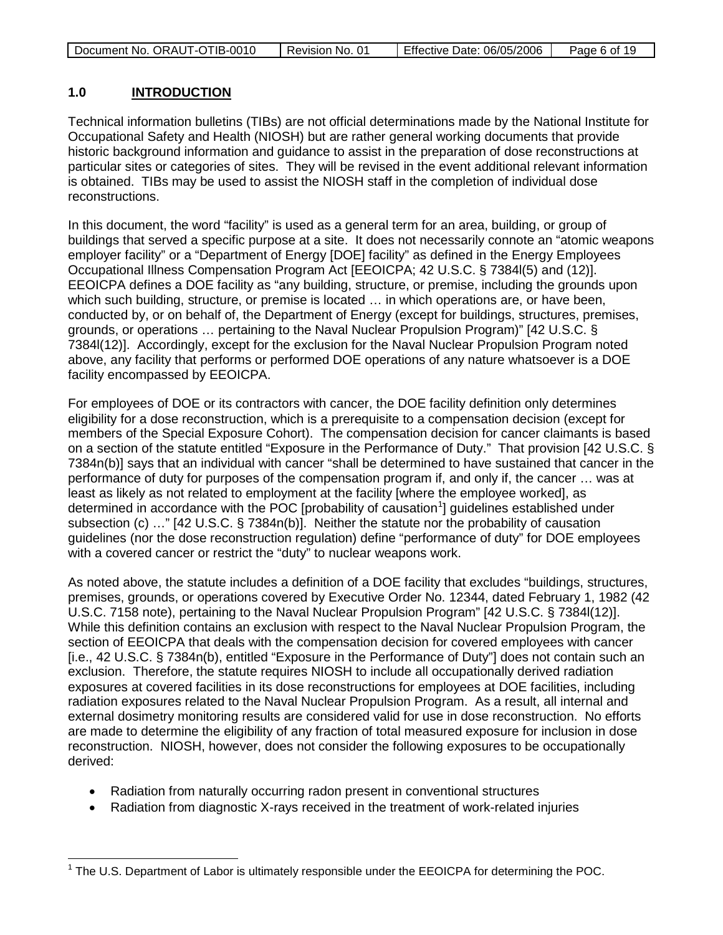| Document No. ORAUT-OTIB-0010 | Revision No. 01 | Effective Date: 06/05/2006 | Page 6 of 19 |
|------------------------------|-----------------|----------------------------|--------------|
|                              |                 |                            |              |

#### **1.0 INTRODUCTION**

Technical information bulletins (TIBs) are not official determinations made by the National Institute for Occupational Safety and Health (NIOSH) but are rather general working documents that provide historic background information and guidance to assist in the preparation of dose reconstructions at particular sites or categories of sites. They will be revised in the event additional relevant information is obtained. TIBs may be used to assist the NIOSH staff in the completion of individual dose reconstructions.

In this document, the word "facility" is used as a general term for an area, building, or group of buildings that served a specific purpose at a site. It does not necessarily connote an "atomic weapons employer facility" or a "Department of Energy [DOE] facility" as defined in the Energy Employees Occupational Illness Compensation Program Act [EEOICPA; 42 U.S.C. § 7384l(5) and (12)]. EEOICPA defines a DOE facility as "any building, structure, or premise, including the grounds upon which such building, structure, or premise is located … in which operations are, or have been, conducted by, or on behalf of, the Department of Energy (except for buildings, structures, premises, grounds, or operations … pertaining to the Naval Nuclear Propulsion Program)" [42 U.S.C. § 7384l(12)]. Accordingly, except for the exclusion for the Naval Nuclear Propulsion Program noted above, any facility that performs or performed DOE operations of any nature whatsoever is a DOE facility encompassed by EEOICPA.

For employees of DOE or its contractors with cancer, the DOE facility definition only determines eligibility for a dose reconstruction, which is a prerequisite to a compensation decision (except for members of the Special Exposure Cohort). The compensation decision for cancer claimants is based on a section of the statute entitled "Exposure in the Performance of Duty." That provision [42 U.S.C. § 7384n(b)] says that an individual with cancer "shall be determined to have sustained that cancer in the performance of duty for purposes of the compensation program if, and only if, the cancer … was at least as likely as not related to employment at the facility [where the employee worked], as determined in accordance with the POC [probability of causation<sup>[1](#page-5-0)</sup>] guidelines established under subsection (c) …" [42 U.S.C. § 7384n(b)]. Neither the statute nor the probability of causation guidelines (nor the dose reconstruction regulation) define "performance of duty" for DOE employees with a covered cancer or restrict the "duty" to nuclear weapons work.

As noted above, the statute includes a definition of a DOE facility that excludes "buildings, structures, premises, grounds, or operations covered by Executive Order No. 12344, dated February 1, 1982 (42 U.S.C. 7158 note), pertaining to the Naval Nuclear Propulsion Program" [42 U.S.C. § 7384l(12)]. While this definition contains an exclusion with respect to the Naval Nuclear Propulsion Program, the section of EEOICPA that deals with the compensation decision for covered employees with cancer [i.e., 42 U.S.C. § 7384n(b), entitled "Exposure in the Performance of Duty"] does not contain such an exclusion. Therefore, the statute requires NIOSH to include all occupationally derived radiation exposures at covered facilities in its dose reconstructions for employees at DOE facilities, including radiation exposures related to the Naval Nuclear Propulsion Program. As a result, all internal and external dosimetry monitoring results are considered valid for use in dose reconstruction. No efforts are made to determine the eligibility of any fraction of total measured exposure for inclusion in dose reconstruction. NIOSH, however, does not consider the following exposures to be occupationally derived:

- Radiation from naturally occurring radon present in conventional structures
- Radiation from diagnostic X-rays received in the treatment of work-related injuries

<span id="page-5-0"></span> $1$  The U.S. Department of Labor is ultimately responsible under the EEOICPA for determining the POC.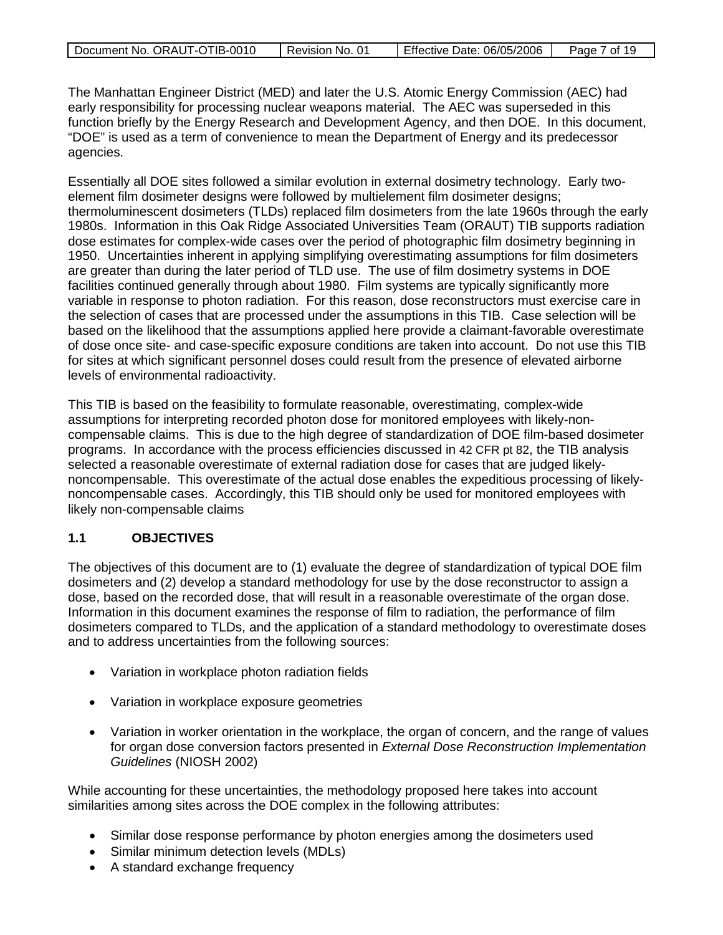| Document No. ORAUT-OTIB-0010 | Revision No. 01 | Effective Date: 06/05/2006 | Page 7 of 19 |
|------------------------------|-----------------|----------------------------|--------------|
|                              |                 |                            |              |

The Manhattan Engineer District (MED) and later the U.S. Atomic Energy Commission (AEC) had early responsibility for processing nuclear weapons material. The AEC was superseded in this function briefly by the Energy Research and Development Agency, and then DOE. In this document, "DOE" is used as a term of convenience to mean the Department of Energy and its predecessor agencies.

Essentially all DOE sites followed a similar evolution in external dosimetry technology. Early twoelement film dosimeter designs were followed by multielement film dosimeter designs; thermoluminescent dosimeters (TLDs) replaced film dosimeters from the late 1960s through the early 1980s. Information in this Oak Ridge Associated Universities Team (ORAUT) TIB supports radiation dose estimates for complex-wide cases over the period of photographic film dosimetry beginning in 1950. Uncertainties inherent in applying simplifying overestimating assumptions for film dosimeters are greater than during the later period of TLD use. The use of film dosimetry systems in DOE facilities continued generally through about 1980. Film systems are typically significantly more variable in response to photon radiation. For this reason, dose reconstructors must exercise care in the selection of cases that are processed under the assumptions in this TIB. Case selection will be based on the likelihood that the assumptions applied here provide a claimant-favorable overestimate of dose once site- and case-specific exposure conditions are taken into account. Do not use this TIB for sites at which significant personnel doses could result from the presence of elevated airborne levels of environmental radioactivity.

This TIB is based on the feasibility to formulate reasonable, overestimating, complex-wide assumptions for interpreting recorded photon dose for monitored employees with likely-noncompensable claims. This is due to the high degree of standardization of DOE film-based dosimeter programs. In accordance with the process efficiencies discussed in 42 CFR pt 82, the TIB analysis selected a reasonable overestimate of external radiation dose for cases that are judged likelynoncompensable. This overestimate of the actual dose enables the expeditious processing of likelynoncompensable cases. Accordingly, this TIB should only be used for monitored employees with likely non-compensable claims

### **1.1 OBJECTIVES**

The objectives of this document are to (1) evaluate the degree of standardization of typical DOE film dosimeters and (2) develop a standard methodology for use by the dose reconstructor to assign a dose, based on the recorded dose, that will result in a reasonable overestimate of the organ dose. Information in this document examines the response of film to radiation, the performance of film dosimeters compared to TLDs, and the application of a standard methodology to overestimate doses and to address uncertainties from the following sources:

- Variation in workplace photon radiation fields
- Variation in workplace exposure geometries
- Variation in worker orientation in the workplace, the organ of concern, and the range of values for organ dose conversion factors presented in *External Dose Reconstruction Implementation Guidelines* (NIOSH 2002)

While accounting for these uncertainties, the methodology proposed here takes into account similarities among sites across the DOE complex in the following attributes:

- Similar dose response performance by photon energies among the dosimeters used
- Similar minimum detection levels (MDLs)
- A standard exchange frequency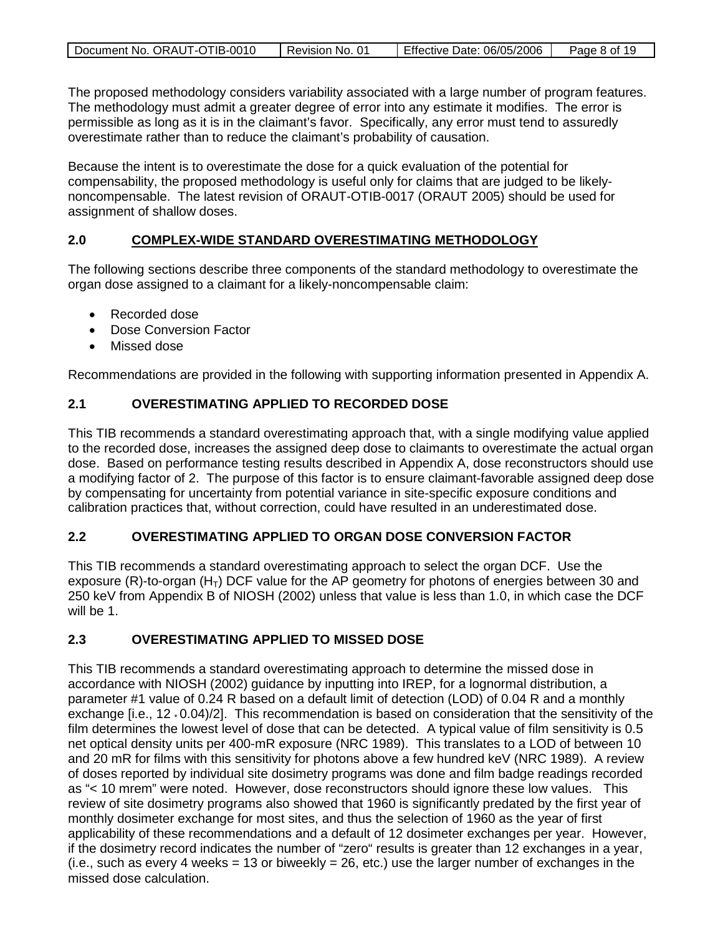| Document No. ORAUT-OTIB-0010 | Revision No. 01 | Effective Date: 06/05/2006 | Page 8 of 19 |
|------------------------------|-----------------|----------------------------|--------------|

The proposed methodology considers variability associated with a large number of program features. The methodology must admit a greater degree of error into any estimate it modifies. The error is permissible as long as it is in the claimant's favor. Specifically, any error must tend to assuredly overestimate rather than to reduce the claimant's probability of causation.

Because the intent is to overestimate the dose for a quick evaluation of the potential for compensability, the proposed methodology is useful only for claims that are judged to be likelynoncompensable. The latest revision of ORAUT-OTIB-0017 (ORAUT 2005) should be used for assignment of shallow doses.

#### **2.0 COMPLEX-WIDE STANDARD OVERESTIMATING METHODOLOGY**

The following sections describe three components of the standard methodology to overestimate the organ dose assigned to a claimant for a likely-noncompensable claim:

- Recorded dose
- Dose Conversion Factor
- Missed dose

Recommendations are provided in the following with supporting information presented in Appendix A.

## **2.1 OVERESTIMATING APPLIED TO RECORDED DOSE**

This TIB recommends a standard overestimating approach that, with a single modifying value applied to the recorded dose, increases the assigned deep dose to claimants to overestimate the actual organ dose. Based on performance testing results described in Appendix A, dose reconstructors should use a modifying factor of 2. The purpose of this factor is to ensure claimant-favorable assigned deep dose by compensating for uncertainty from potential variance in site-specific exposure conditions and calibration practices that, without correction, could have resulted in an underestimated dose.

## **2.2 OVERESTIMATING APPLIED TO ORGAN DOSE CONVERSION FACTOR**

This TIB recommends a standard overestimating approach to select the organ DCF. Use the exposure (R)-to-organ (H<sub>T</sub>) DCF value for the AP geometry for photons of energies between 30 and 250 keV from Appendix B of NIOSH (2002) unless that value is less than 1.0, in which case the DCF will be 1.

## **2.3 OVERESTIMATING APPLIED TO MISSED DOSE**

This TIB recommends a standard overestimating approach to determine the missed dose in accordance with NIOSH (2002) guidance by inputting into IREP, for a lognormal distribution, a parameter #1 value of 0.24 R based on a default limit of detection (LOD) of 0.04 R and a monthly exchange [i.e., 12 \* 0.04)/2]. This recommendation is based on consideration that the sensitivity of the film determines the lowest level of dose that can be detected. A typical value of film sensitivity is 0.5 net optical density units per 400-mR exposure (NRC 1989). This translates to a LOD of between 10 and 20 mR for films with this sensitivity for photons above a few hundred keV (NRC 1989). A review of doses reported by individual site dosimetry programs was done and film badge readings recorded as "< 10 mrem" were noted. However, dose reconstructors should ignore these low values. This review of site dosimetry programs also showed that 1960 is significantly predated by the first year of monthly dosimeter exchange for most sites, and thus the selection of 1960 as the year of first applicability of these recommendations and a default of 12 dosimeter exchanges per year. However, if the dosimetry record indicates the number of "zero" results is greater than 12 exchanges in a year,  $(i.e., such as every 4 weeks = 13 or biweekly = 26, etc.)$  use the larger number of exchanges in the missed dose calculation.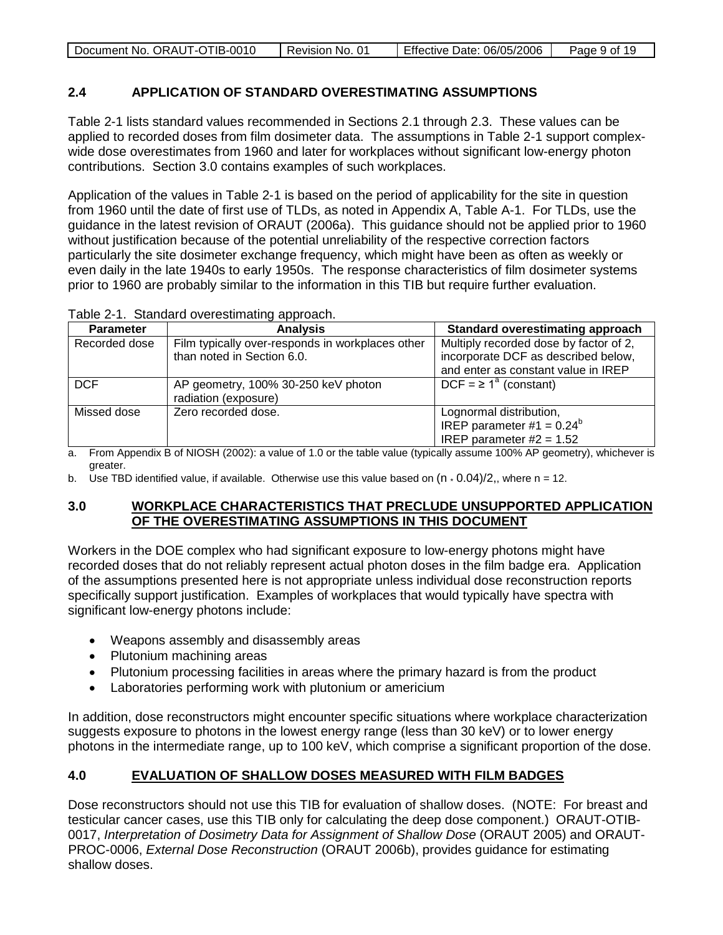| Document No. ORAUT-OTIB-0010 | Revision No. 01 | Effective Date: 06/05/2006 | Page 9 of 19 |
|------------------------------|-----------------|----------------------------|--------------|
|                              |                 |                            |              |

### **2.4 APPLICATION OF STANDARD OVERESTIMATING ASSUMPTIONS**

Table 2-1 lists standard values recommended in Sections 2.1 through 2.3. These values can be applied to recorded doses from film dosimeter data. The assumptions in Table 2-1 support complexwide dose overestimates from 1960 and later for workplaces without significant low-energy photon contributions. Section 3.0 contains examples of such workplaces.

Application of the values in Table 2-1 is based on the period of applicability for the site in question from 1960 until the date of first use of TLDs, as noted in Appendix A, Table A-1. For TLDs, use the guidance in the latest revision of ORAUT (2006a). This guidance should not be applied prior to 1960 without justification because of the potential unreliability of the respective correction factors particularly the site dosimeter exchange frequency, which might have been as often as weekly or even daily in the late 1940s to early 1950s. The response characteristics of film dosimeter systems prior to 1960 are probably similar to the information in this TIB but require further evaluation.

| Table 2-1. Standard overestimating approach. |
|----------------------------------------------|
|----------------------------------------------|

| <b>Parameter</b> | <b>Analysis</b>                                  | <b>Standard overestimating approach</b> |
|------------------|--------------------------------------------------|-----------------------------------------|
| Recorded dose    | Film typically over-responds in workplaces other | Multiply recorded dose by factor of 2,  |
|                  | than noted in Section 6.0.                       | incorporate DCF as described below,     |
|                  |                                                  | and enter as constant value in IREP     |
| <b>DCF</b>       | AP geometry, 100% 30-250 keV photon              | $DCF = \ge 1^a$ (constant)              |
|                  | radiation (exposure)                             |                                         |
| Missed dose      | Zero recorded dose.                              | Lognormal distribution,                 |
|                  |                                                  | IREP parameter #1 = $0.24^b$            |
|                  |                                                  | IREP parameter $#2 = 1.52$              |

a. From Appendix B of NIOSH (2002): a value of 1.0 or the table value (typically assume 100% AP geometry), whichever is greater.

b. Use TBD identified value, if available. Otherwise use this value based on  $(n \cdot 0.04)/2$ , where n = 12.

### **3.0 WORKPLACE CHARACTERISTICS THAT PRECLUDE UNSUPPORTED APPLICATION OF THE OVERESTIMATING ASSUMPTIONS IN THIS DOCUMENT**

Workers in the DOE complex who had significant exposure to low-energy photons might have recorded doses that do not reliably represent actual photon doses in the film badge era. Application of the assumptions presented here is not appropriate unless individual dose reconstruction reports specifically support justification. Examples of workplaces that would typically have spectra with significant low-energy photons include:

- Weapons assembly and disassembly areas
- Plutonium machining areas
- Plutonium processing facilities in areas where the primary hazard is from the product
- Laboratories performing work with plutonium or americium

In addition, dose reconstructors might encounter specific situations where workplace characterization suggests exposure to photons in the lowest energy range (less than 30 keV) or to lower energy photons in the intermediate range, up to 100 keV, which comprise a significant proportion of the dose.

#### **4.0 EVALUATION OF SHALLOW DOSES MEASURED WITH FILM BADGES**

Dose reconstructors should not use this TIB for evaluation of shallow doses. (NOTE: For breast and testicular cancer cases, use this TIB only for calculating the deep dose component.) ORAUT-OTIB-0017, *Interpretation of Dosimetry Data for Assignment of Shallow Dose* (ORAUT 2005) and ORAUT-PROC-0006, *External Dose Reconstruction* (ORAUT 2006b), provides guidance for estimating shallow doses.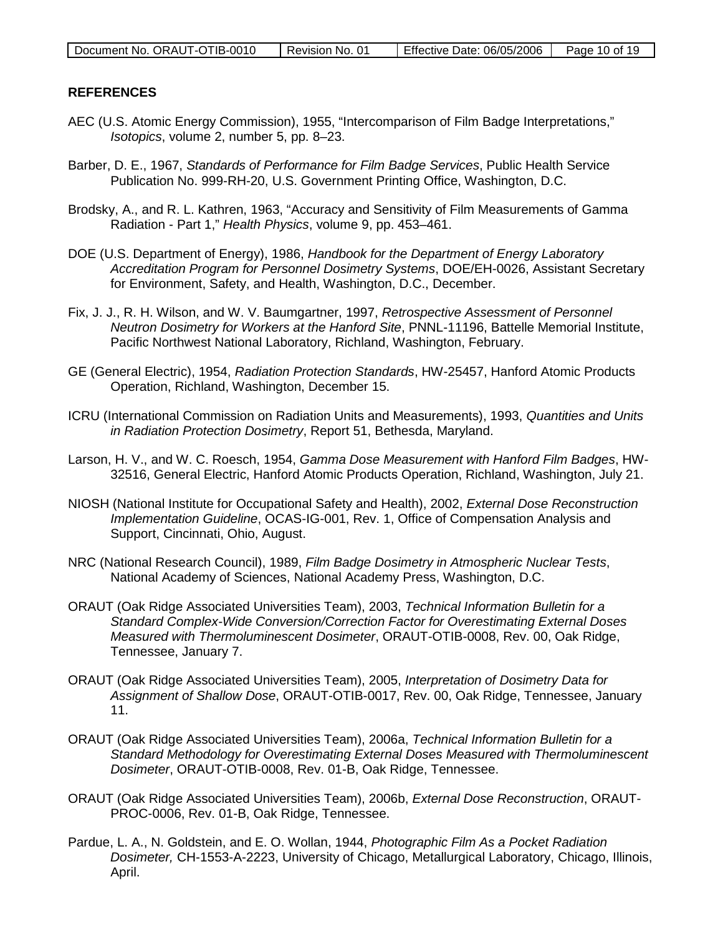| Document No. ORAUT-OTIB-0010 | Revision No. 01 | Effective Date: 06/05/2006 | Page 10 of 19 |
|------------------------------|-----------------|----------------------------|---------------|
|------------------------------|-----------------|----------------------------|---------------|

### **REFERENCES**

- AEC (U.S. Atomic Energy Commission), 1955, "Intercomparison of Film Badge Interpretations," *Isotopics*, volume 2, number 5, pp. 8–23.
- Barber, D. E., 1967, *Standards of Performance for Film Badge Services*, Public Health Service Publication No. 999-RH-20, U.S. Government Printing Office, Washington, D.C.
- Brodsky, A., and R. L. Kathren, 1963, "Accuracy and Sensitivity of Film Measurements of Gamma Radiation - Part 1," *Health Physics*, volume 9, pp. 453–461.
- DOE (U.S. Department of Energy), 1986, *Handbook for the Department of Energy Laboratory Accreditation Program for Personnel Dosimetry Systems*, DOE/EH-0026, Assistant Secretary for Environment, Safety, and Health, Washington, D.C., December.
- Fix, J. J., R. H. Wilson, and W. V. Baumgartner, 1997, *Retrospective Assessment of Personnel Neutron Dosimetry for Workers at the Hanford Site*, PNNL-11196, Battelle Memorial Institute, Pacific Northwest National Laboratory, Richland, Washington, February.
- GE (General Electric), 1954, *Radiation Protection Standards*, HW-25457, Hanford Atomic Products Operation, Richland, Washington, December 15.
- ICRU (International Commission on Radiation Units and Measurements), 1993, *Quantities and Units in Radiation Protection Dosimetry*, Report 51, Bethesda, Maryland.
- Larson, H. V., and W. C. Roesch, 1954, *Gamma Dose Measurement with Hanford Film Badges*, HW-32516, General Electric, Hanford Atomic Products Operation, Richland, Washington, July 21.
- NIOSH (National Institute for Occupational Safety and Health), 2002, *External Dose Reconstruction Implementation Guideline*, OCAS-IG-001, Rev. 1, Office of Compensation Analysis and Support, Cincinnati, Ohio, August.
- NRC (National Research Council), 1989, *Film Badge Dosimetry in Atmospheric Nuclear Tests*, National Academy of Sciences, National Academy Press, Washington, D.C.
- ORAUT (Oak Ridge Associated Universities Team), 2003, *Technical Information Bulletin for a Standard Complex-Wide Conversion/Correction Factor for Overestimating External Doses Measured with Thermoluminescent Dosimeter*, ORAUT-OTIB-0008, Rev. 00, Oak Ridge, Tennessee, January 7.
- ORAUT (Oak Ridge Associated Universities Team), 2005, *Interpretation of Dosimetry Data for Assignment of Shallow Dose*, ORAUT-OTIB-0017, Rev. 00, Oak Ridge, Tennessee, January 11.
- ORAUT (Oak Ridge Associated Universities Team), 2006a, *Technical Information Bulletin for a Standard Methodology for Overestimating External Doses Measured with Thermoluminescent Dosimeter*, ORAUT-OTIB-0008, Rev. 01-B, Oak Ridge, Tennessee.
- ORAUT (Oak Ridge Associated Universities Team), 2006b, *External Dose Reconstruction*, ORAUT-PROC-0006, Rev. 01-B, Oak Ridge, Tennessee.
- Pardue, L. A., N. Goldstein, and E. O. Wollan, 1944, *Photographic Film As a Pocket Radiation Dosimeter,* CH-1553-A-2223, University of Chicago, Metallurgical Laboratory, Chicago, Illinois, April.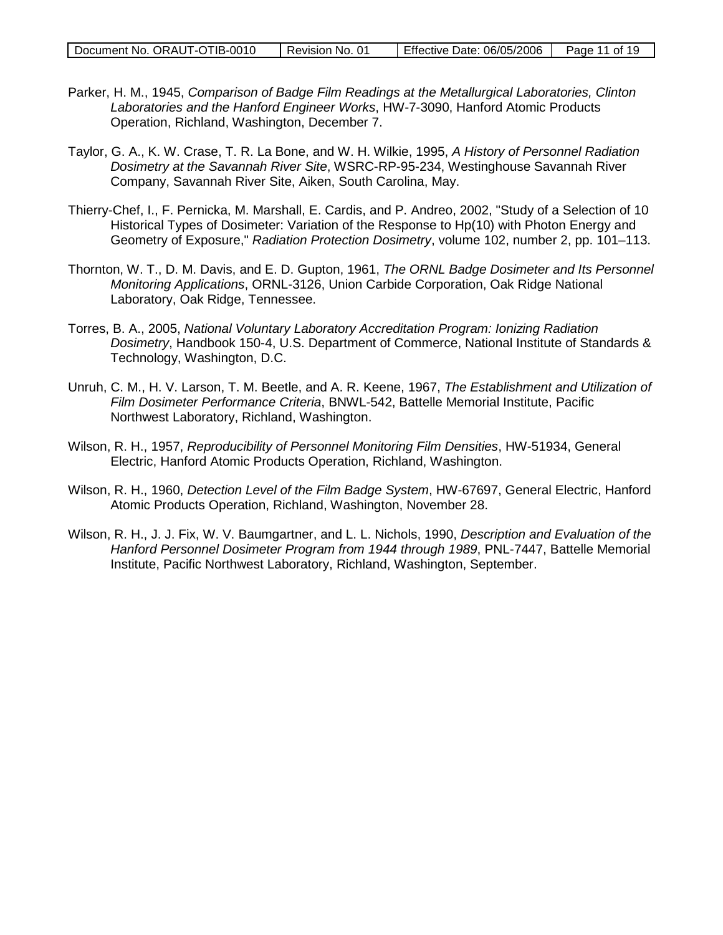| Document No. ORAUT-OTIB-0010 | Revision No. 01 | Effective Date: 06/05/2006 | Page 11 of 19 |
|------------------------------|-----------------|----------------------------|---------------|

- Parker, H. M., 1945, *Comparison of Badge Film Readings at the Metallurgical Laboratories, Clinton Laboratories and the Hanford Engineer Works*, HW-7-3090, Hanford Atomic Products Operation, Richland, Washington, December 7.
- Taylor, G. A., K. W. Crase, T. R. La Bone, and W. H. Wilkie, 1995, *A History of Personnel Radiation Dosimetry at the Savannah River Site*, WSRC-RP-95-234, Westinghouse Savannah River Company, Savannah River Site, Aiken, South Carolina, May.
- Thierry-Chef, I., F. Pernicka, M. Marshall, E. Cardis, and P. Andreo, 2002, "Study of a Selection of 10 Historical Types of Dosimeter: Variation of the Response to Hp(10) with Photon Energy and Geometry of Exposure," *Radiation Protection Dosimetry*, volume 102, number 2, pp. 101–113.
- Thornton, W. T., D. M. Davis, and E. D. Gupton, 1961, *The ORNL Badge Dosimeter and Its Personnel Monitoring Applications*, ORNL-3126, Union Carbide Corporation, Oak Ridge National Laboratory, Oak Ridge, Tennessee.
- Torres, B. A., 2005, *National Voluntary Laboratory Accreditation Program: Ionizing Radiation Dosimetry*, Handbook 150-4, U.S. Department of Commerce, National Institute of Standards & Technology, Washington, D.C.
- Unruh, C. M., H. V. Larson, T. M. Beetle, and A. R. Keene, 1967, *The Establishment and Utilization of Film Dosimeter Performance Criteria*, BNWL-542, Battelle Memorial Institute, Pacific Northwest Laboratory, Richland, Washington.
- Wilson, R. H., 1957, *Reproducibility of Personnel Monitoring Film Densities*, HW-51934, General Electric, Hanford Atomic Products Operation, Richland, Washington.
- Wilson, R. H., 1960, *Detection Level of the Film Badge System*, HW-67697, General Electric, Hanford Atomic Products Operation, Richland, Washington, November 28.
- Wilson, R. H., J. J. Fix, W. V. Baumgartner, and L. L. Nichols, 1990, *Description and Evaluation of the Hanford Personnel Dosimeter Program from 1944 through 1989*, PNL-7447, Battelle Memorial Institute, Pacific Northwest Laboratory, Richland, Washington, September.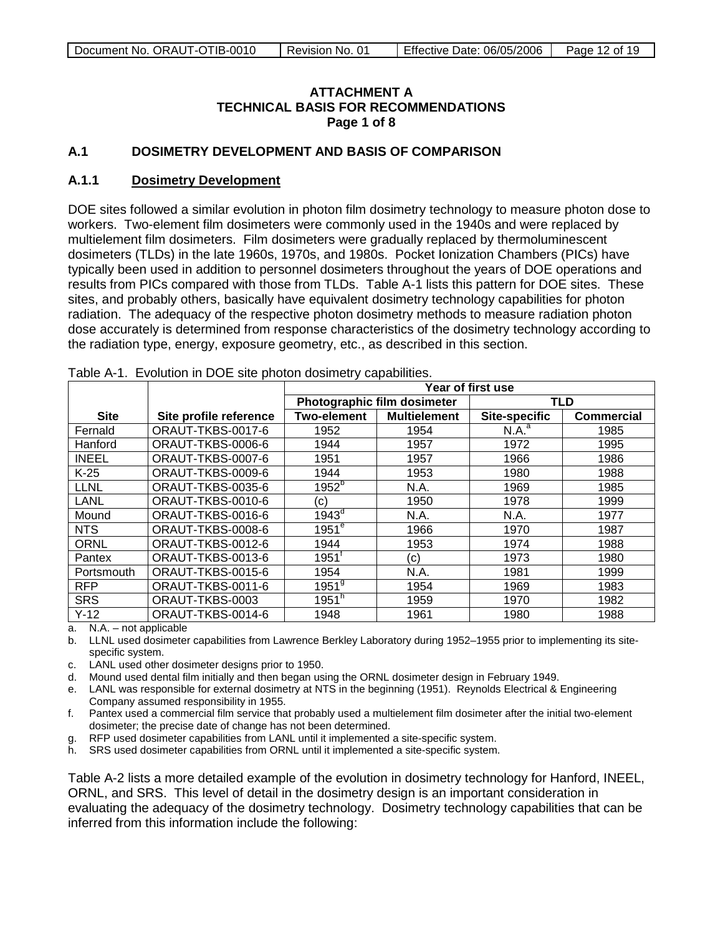### **ATTACHMENT A TECHNICAL BASIS FOR RECOMMENDATIONS Page 1 of 8**

### <span id="page-11-0"></span>**A.1 DOSIMETRY DEVELOPMENT AND BASIS OF COMPARISON**

#### **A.1.1 Dosimetry Development**

DOE sites followed a similar evolution in photon film dosimetry technology to measure photon dose to workers. Two-element film dosimeters were commonly used in the 1940s and were replaced by multielement film dosimeters. Film dosimeters were gradually replaced by thermoluminescent dosimeters (TLDs) in the late 1960s, 1970s, and 1980s. Pocket Ionization Chambers (PICs) have typically been used in addition to personnel dosimeters throughout the years of DOE operations and results from PICs compared with those from TLDs. Table A-1 lists this pattern for DOE sites. These sites, and probably others, basically have equivalent dosimetry technology capabilities for photon radiation. The adequacy of the respective photon dosimetry methods to measure radiation photon dose accurately is determined from response characteristics of the dosimetry technology according to the radiation type, energy, exposure geometry, etc., as described in this section.

|              |                        | Year of first use           |                     |                      |                   |
|--------------|------------------------|-----------------------------|---------------------|----------------------|-------------------|
|              |                        | Photographic film dosimeter |                     | <b>TLD</b>           |                   |
| <b>Site</b>  | Site profile reference | <b>Two-element</b>          | <b>Multielement</b> | <b>Site-specific</b> | <b>Commercial</b> |
| Fernald      | ORAUT-TKBS-0017-6      | 1952                        | 1954                | N.A. <sup>a</sup>    | 1985              |
| Hanford      | ORAUT-TKBS-0006-6      | 1944                        | 1957                | 1972                 | 1995              |
| <b>INEEL</b> | ORAUT-TKBS-0007-6      | 1951                        | 1957                | 1966                 | 1986              |
| $K-25$       | ORAUT-TKBS-0009-6      | 1944                        | 1953                | 1980                 | 1988              |
| <b>LLNL</b>  | ORAUT-TKBS-0035-6      | $1952^{5}$                  | N.A.                | 1969                 | 1985              |
| LANL         | ORAUT-TKBS-0010-6      | (c)                         | 1950                | 1978                 | 1999              |
| Mound        | ORAUT-TKBS-0016-6      | 1943 <sup>d</sup>           | N.A.                | N.A.                 | 1977              |
| <b>NTS</b>   | ORAUT-TKBS-0008-6      | $1951$ <sup>e</sup>         | 1966                | 1970                 | 1987              |
| <b>ORNL</b>  | ORAUT-TKBS-0012-6      | 1944                        | 1953                | 1974                 | 1988              |
| Pantex       | ORAUT-TKBS-0013-6      | $1951^{\circ}$              | (c)                 | 1973                 | 1980              |
| Portsmouth   | ORAUT-TKBS-0015-6      | 1954                        | N.A.                | 1981                 | 1999              |
| <b>RFP</b>   | ORAUT-TKBS-0011-6      | $1951^9$                    | 1954                | 1969                 | 1983              |
| <b>SRS</b>   | ORAUT-TKBS-0003        | $1951^{\overline{n}}$       | 1959                | 1970                 | 1982              |
| $Y-12$       | ORAUT-TKBS-0014-6      | 1948                        | 1961                | 1980                 | 1988              |

Table A-1. Evolution in DOE site photon dosimetry capabilities.

a. N.A. – not applicable

- b. LLNL used dosimeter capabilities from Lawrence Berkley Laboratory during 1952–1955 prior to implementing its sitespecific system.
- c. LANL used other dosimeter designs prior to 1950.
- d. Mound used dental film initially and then began using the ORNL dosimeter design in February 1949.
- e. LANL was responsible for external dosimetry at NTS in the beginning (1951). Reynolds Electrical & Engineering Company assumed responsibility in 1955.
- f. Pantex used a commercial film service that probably used a multielement film dosimeter after the initial two-element dosimeter; the precise date of change has not been determined.
- g. RFP used dosimeter capabilities from LANL until it implemented a site-specific system.
- h. SRS used dosimeter capabilities from ORNL until it implemented a site-specific system.

Table A-2 lists a more detailed example of the evolution in dosimetry technology for Hanford, INEEL, ORNL, and SRS. This level of detail in the dosimetry design is an important consideration in evaluating the adequacy of the dosimetry technology. Dosimetry technology capabilities that can be inferred from this information include the following: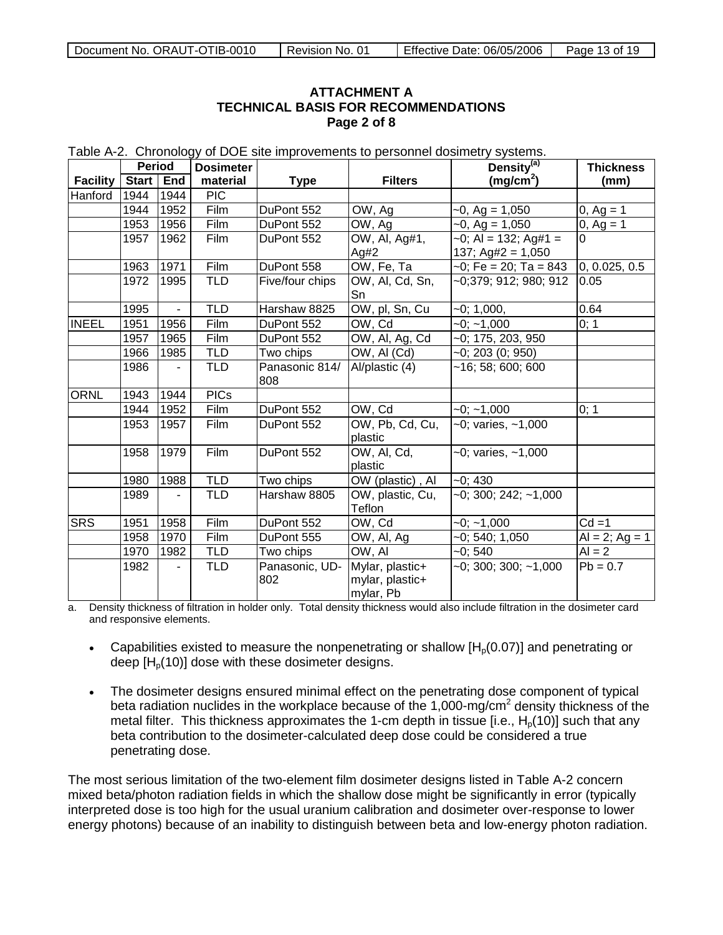### **ATTACHMENT A TECHNICAL BASIS FOR RECOMMENDATIONS Page 2 of 8**

| <b>Period</b>   |           | <b>Dosimeter</b> |             |                       | Density <sup>(a)</sup> | <b>Thickness</b>          |                  |
|-----------------|-----------|------------------|-------------|-----------------------|------------------------|---------------------------|------------------|
| <b>Facility</b> | Start End |                  | material    | <b>Type</b>           | <b>Filters</b>         | (mg/cm <sup>2</sup> )     | (mm)             |
| Hanford         | 1944      | 1944             | <b>PIC</b>  |                       |                        |                           |                  |
|                 | 1944      | 1952             | Film        | DuPont 552            | OW, Ag                 | $-0$ , Ag = 1,050         | $0, Ag = 1$      |
|                 | 1953      | 1956             | Film        | DuPont 552            | OW, Ag                 | $-0$ , Ag = 1,050         | 0, $Ag = 1$      |
|                 | 1957      | 1962             | Film        | DuPont 552            | OW, Al, Ag#1,          | $-0$ ; Al = 132; Ag#1 =   |                  |
|                 |           |                  |             |                       | Ag#2                   | 137; Ag#2 = $1,050$       |                  |
|                 | 1963      | 1971             | Film        | DuPont 558            | OW, Fe, Ta             | $-0$ ; Fe = 20; Ta = 843  | 0, 0.025, 0.5    |
|                 | 1972      | 1995             | <b>TLD</b>  | Five/four chips       | OW, Al, Cd, Sn,        | $-0;379;912;980;912$      | 0.05             |
|                 |           |                  |             |                       | Sn                     |                           |                  |
|                 | 1995      | $\blacksquare$   | <b>TLD</b>  | Harshaw 8825          | OW, pl, Sn, Cu         | $-0; 1,000,$              | 0.64             |
| <b>INEEL</b>    | 1951      | 1956             | Film        | DuPont 552            | OW, Cd                 | $-0$ ; $-1,000$           | 0; 1             |
|                 | 1957      | 1965             | Film        | DuPont 552            | OW, Al, Ag, Cd         | $-0; 175, 203, 950$       |                  |
|                 | 1966      | 1985             | <b>TLD</b>  | Two chips             | OW, AI (Cd)            | $-0$ ; 203 (0; 950)       |                  |
|                 | 1986      | $\blacksquare$   | <b>TLD</b>  | Panasonic 814/<br>808 | Al/plastic (4)         | $-16$ ; 58; 600; 600      |                  |
| <b>ORNL</b>     | 1943      | 1944             | <b>PICs</b> |                       |                        |                           |                  |
|                 | 1944      | 1952             | Film        | DuPont 552            | OW, Cd                 | $-0; -1,000$              | 0; 1             |
|                 | 1953      | 1957             | Film        | DuPont 552            | OW, Pb, Cd, Cu,        | $-0$ ; varies, $-1,000$   |                  |
|                 |           |                  |             |                       | plastic                |                           |                  |
|                 | 1958      | 1979             | Film        | DuPont 552            | OW, AI, Cd,            | $-0$ ; varies, $-1,000$   |                  |
|                 |           |                  |             |                       | plastic                |                           |                  |
|                 | 1980      | 1988             | <b>TLD</b>  | Two chips             | OW (plastic), Al       | $-0;430$                  |                  |
|                 | 1989      |                  | <b>TLD</b>  | Harshaw 8805          | OW, plastic, Cu,       | $-0$ ; 300; 242; $-1,000$ |                  |
|                 |           |                  |             |                       | Teflon                 |                           |                  |
| <b>SRS</b>      | 1951      | 1958             | Film        | DuPont 552            | OW, Cd                 | $-0; -1,000$              | $Cd = 1$         |
|                 | 1958      | 1970             | Film        | DuPont 555            | OW, Al, Ag             | $-0; 540; 1,050$          | $Al = 2; Ag = 1$ |
|                 | 1970      | 1982             | <b>TLD</b>  | Two chips             | OW, AI                 | $-0; 540$                 | $AI = 2$         |
|                 | 1982      |                  | <b>TLD</b>  | Panasonic, UD-        | Mylar, plastic+        | $-0$ ; 300; 300; $-1,000$ | $Pb = 0.7$       |
|                 |           |                  |             | 802                   | mylar, plastic+        |                           |                  |
|                 |           |                  |             |                       | mylar, Pb              |                           |                  |

Table A-2. Chronology of DOE site improvements to personnel dosimetry systems.

a. Density thickness of filtration in holder only. Total density thickness would also include filtration in the dosimeter card and responsive elements.

- Capabilities existed to measure the nonpenetrating or shallow  $[H<sub>0</sub>(0.07)]$  and penetrating or deep  $[H<sub>o</sub>(10)]$  dose with these dosimeter designs.
- The dosimeter designs ensured minimal effect on the penetrating dose component of typical beta radiation nuclides in the workplace because of the 1,000-mg/cm<sup>2</sup> density thickness of the metal filter. This thickness approximates the 1-cm depth in tissue [i.e.,  $H<sub>0</sub>(10)$ ] such that any beta contribution to the dosimeter-calculated deep dose could be considered a true penetrating dose.

The most serious limitation of the two-element film dosimeter designs listed in Table A-2 concern mixed beta/photon radiation fields in which the shallow dose might be significantly in error (typically interpreted dose is too high for the usual uranium calibration and dosimeter over-response to lower energy photons) because of an inability to distinguish between beta and low-energy photon radiation.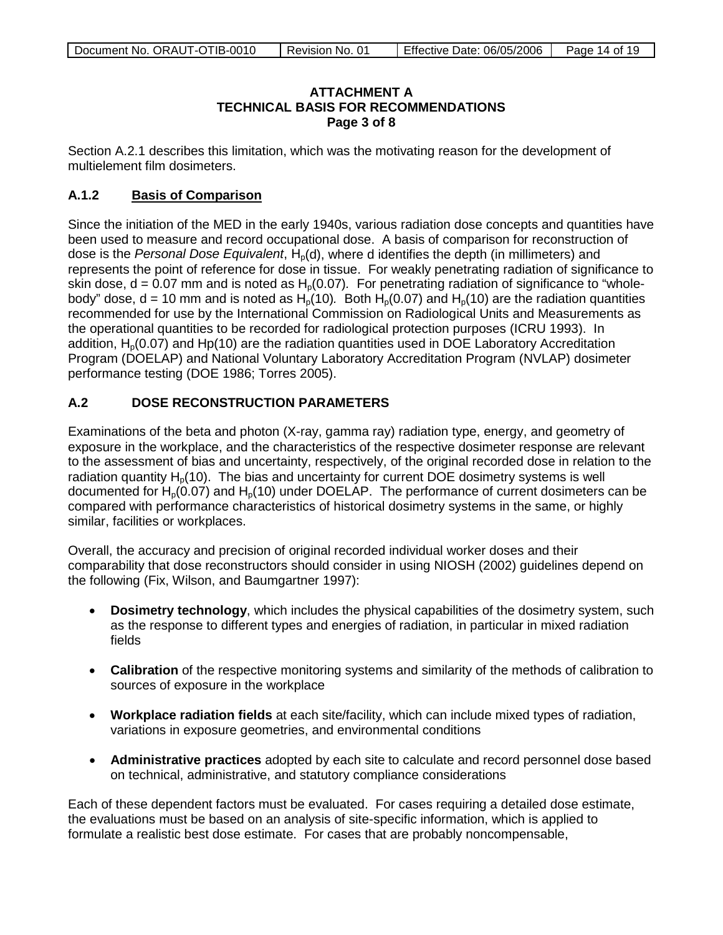### **ATTACHMENT A TECHNICAL BASIS FOR RECOMMENDATIONS Page 3 of 8**

Section A.2.1 describes this limitation, which was the motivating reason for the development of multielement film dosimeters.

#### **A.1.2 Basis of Comparison**

Since the initiation of the MED in the early 1940s, various radiation dose concepts and quantities have been used to measure and record occupational dose. A basis of comparison for reconstruction of dose is the *Personal Dose Equivalent*, H<sub>p</sub>(d), where d identifies the depth (in millimeters) and represents the point of reference for dose in tissue. For weakly penetrating radiation of significance to skin dose,  $d = 0.07$  mm and is noted as  $H<sub>0</sub>(0.07)$ . For penetrating radiation of significance to "wholebody" dose, d = 10 mm and is noted as  $H_p(10)$ . Both  $H_p(0.07)$  and  $H_p(10)$  are the radiation quantities recommended for use by the International Commission on Radiological Units and Measurements as the operational quantities to be recorded for radiological protection purposes (ICRU 1993). In addition,  $H<sub>0</sub>(0.07)$  and Hp(10) are the radiation quantities used in DOE Laboratory Accreditation Program (DOELAP) and National Voluntary Laboratory Accreditation Program (NVLAP) dosimeter performance testing (DOE 1986; Torres 2005).

## **A.2 DOSE RECONSTRUCTION PARAMETERS**

Examinations of the beta and photon (X-ray, gamma ray) radiation type, energy, and geometry of exposure in the workplace, and the characteristics of the respective dosimeter response are relevant to the assessment of bias and uncertainty, respectively, of the original recorded dose in relation to the radiation quantity  $H<sub>0</sub>(10)$ . The bias and uncertainty for current DOE dosimetry systems is well documented for  $H_p(0.07)$  and  $H_p(10)$  under DOELAP. The performance of current dosimeters can be compared with performance characteristics of historical dosimetry systems in the same, or highly similar, facilities or workplaces.

Overall, the accuracy and precision of original recorded individual worker doses and their comparability that dose reconstructors should consider in using NIOSH (2002) guidelines depend on the following (Fix, Wilson, and Baumgartner 1997):

- **Dosimetry technology**, which includes the physical capabilities of the dosimetry system, such as the response to different types and energies of radiation, in particular in mixed radiation fields
- **Calibration** of the respective monitoring systems and similarity of the methods of calibration to sources of exposure in the workplace
- **Workplace radiation fields** at each site/facility, which can include mixed types of radiation, variations in exposure geometries, and environmental conditions
- **Administrative practices** adopted by each site to calculate and record personnel dose based on technical, administrative, and statutory compliance considerations

Each of these dependent factors must be evaluated. For cases requiring a detailed dose estimate, the evaluations must be based on an analysis of site-specific information, which is applied to formulate a realistic best dose estimate. For cases that are probably noncompensable,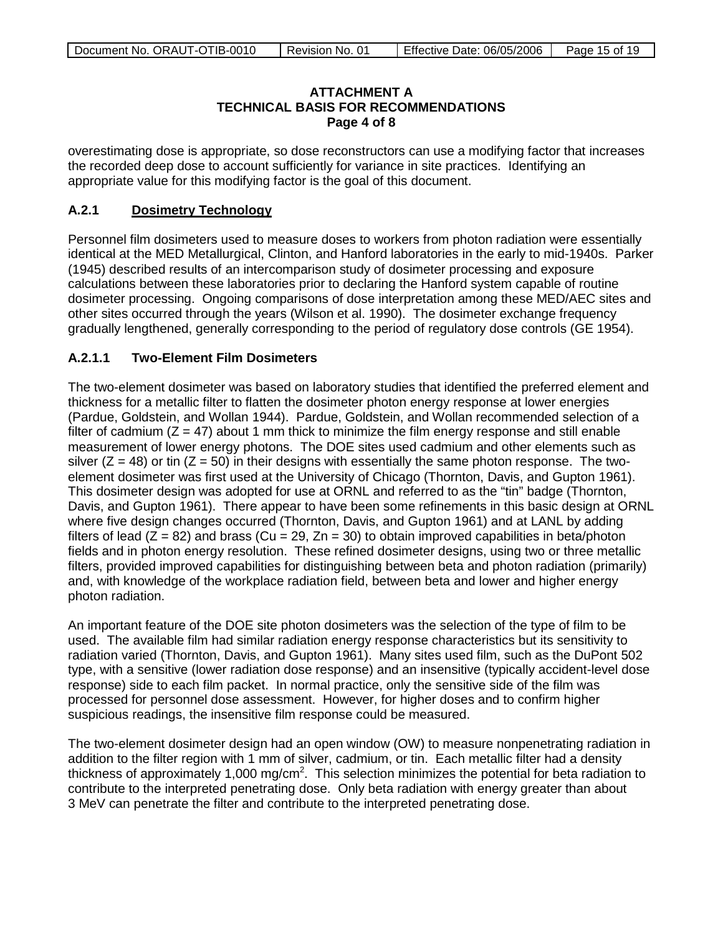### **ATTACHMENT A TECHNICAL BASIS FOR RECOMMENDATIONS Page 4 of 8**

overestimating dose is appropriate, so dose reconstructors can use a modifying factor that increases the recorded deep dose to account sufficiently for variance in site practices. Identifying an appropriate value for this modifying factor is the goal of this document.

#### **A.2.1 Dosimetry Technology**

Personnel film dosimeters used to measure doses to workers from photon radiation were essentially identical at the MED Metallurgical, Clinton, and Hanford laboratories in the early to mid-1940s. Parker (1945) described results of an intercomparison study of dosimeter processing and exposure calculations between these laboratories prior to declaring the Hanford system capable of routine dosimeter processing. Ongoing comparisons of dose interpretation among these MED/AEC sites and other sites occurred through the years (Wilson et al. 1990). The dosimeter exchange frequency gradually lengthened, generally corresponding to the period of regulatory dose controls (GE 1954).

### **A.2.1.1 Two-Element Film Dosimeters**

The two-element dosimeter was based on laboratory studies that identified the preferred element and thickness for a metallic filter to flatten the dosimeter photon energy response at lower energies (Pardue, Goldstein, and Wollan 1944). Pardue, Goldstein, and Wollan recommended selection of a filter of cadmium  $(Z = 47)$  about 1 mm thick to minimize the film energy response and still enable measurement of lower energy photons. The DOE sites used cadmium and other elements such as silver ( $Z = 48$ ) or tin ( $Z = 50$ ) in their designs with essentially the same photon response. The twoelement dosimeter was first used at the University of Chicago (Thornton, Davis, and Gupton 1961). This dosimeter design was adopted for use at ORNL and referred to as the "tin" badge (Thornton, Davis, and Gupton 1961). There appear to have been some refinements in this basic design at ORNL where five design changes occurred (Thornton, Davis, and Gupton 1961) and at LANL by adding filters of lead ( $\overline{Z}$  = 82) and brass (Cu = 29, Zn = 30) to obtain improved capabilities in beta/photon fields and in photon energy resolution. These refined dosimeter designs, using two or three metallic filters, provided improved capabilities for distinguishing between beta and photon radiation (primarily) and, with knowledge of the workplace radiation field, between beta and lower and higher energy photon radiation.

An important feature of the DOE site photon dosimeters was the selection of the type of film to be used. The available film had similar radiation energy response characteristics but its sensitivity to radiation varied (Thornton, Davis, and Gupton 1961). Many sites used film, such as the DuPont 502 type, with a sensitive (lower radiation dose response) and an insensitive (typically accident-level dose response) side to each film packet. In normal practice, only the sensitive side of the film was processed for personnel dose assessment. However, for higher doses and to confirm higher suspicious readings, the insensitive film response could be measured.

The two-element dosimeter design had an open window (OW) to measure nonpenetrating radiation in addition to the filter region with 1 mm of silver, cadmium, or tin. Each metallic filter had a density thickness of approximately 1,000 mg/cm<sup>2</sup>. This selection minimizes the potential for beta radiation to contribute to the interpreted penetrating dose. Only beta radiation with energy greater than about 3 MeV can penetrate the filter and contribute to the interpreted penetrating dose.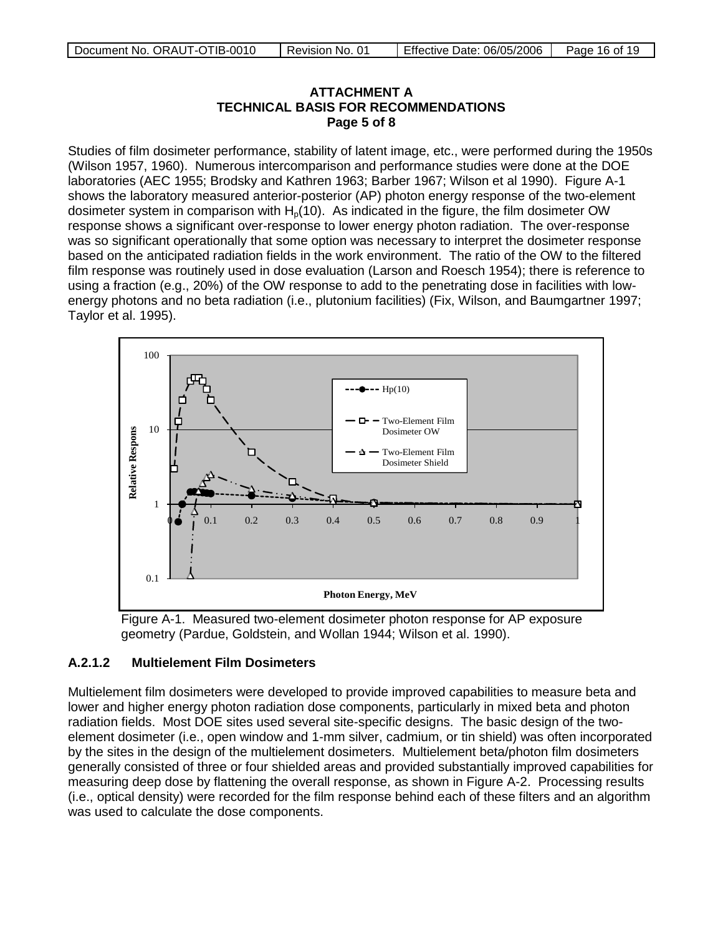### **ATTACHMENT A TECHNICAL BASIS FOR RECOMMENDATIONS Page 5 of 8**

Studies of film dosimeter performance, stability of latent image, etc., were performed during the 1950s (Wilson 1957, 1960). Numerous intercomparison and performance studies were done at the DOE laboratories (AEC 1955; Brodsky and Kathren 1963; Barber 1967; Wilson et al 1990). Figure A-1 shows the laboratory measured anterior-posterior (AP) photon energy response of the two-element dosimeter system in comparison with  $H<sub>0</sub>(10)$ . As indicated in the figure, the film dosimeter OW response shows a significant over-response to lower energy photon radiation. The over-response was so significant operationally that some option was necessary to interpret the dosimeter response based on the anticipated radiation fields in the work environment. The ratio of the OW to the filtered film response was routinely used in dose evaluation (Larson and Roesch 1954); there is reference to using a fraction (e.g., 20%) of the OW response to add to the penetrating dose in facilities with lowenergy photons and no beta radiation (i.e., plutonium facilities) (Fix, Wilson, and Baumgartner 1997; Taylor et al. 1995).



Figure A-1. Measured two-element dosimeter photon response for AP exposure geometry (Pardue, Goldstein, and Wollan 1944; Wilson et al. 1990).

### **A.2.1.2 Multielement Film Dosimeters**

Multielement film dosimeters were developed to provide improved capabilities to measure beta and lower and higher energy photon radiation dose components, particularly in mixed beta and photon radiation fields. Most DOE sites used several site-specific designs. The basic design of the twoelement dosimeter (i.e., open window and 1-mm silver, cadmium, or tin shield) was often incorporated by the sites in the design of the multielement dosimeters. Multielement beta/photon film dosimeters generally consisted of three or four shielded areas and provided substantially improved capabilities for measuring deep dose by flattening the overall response, as shown in Figure A-2. Processing results (i.e., optical density) were recorded for the film response behind each of these filters and an algorithm was used to calculate the dose components.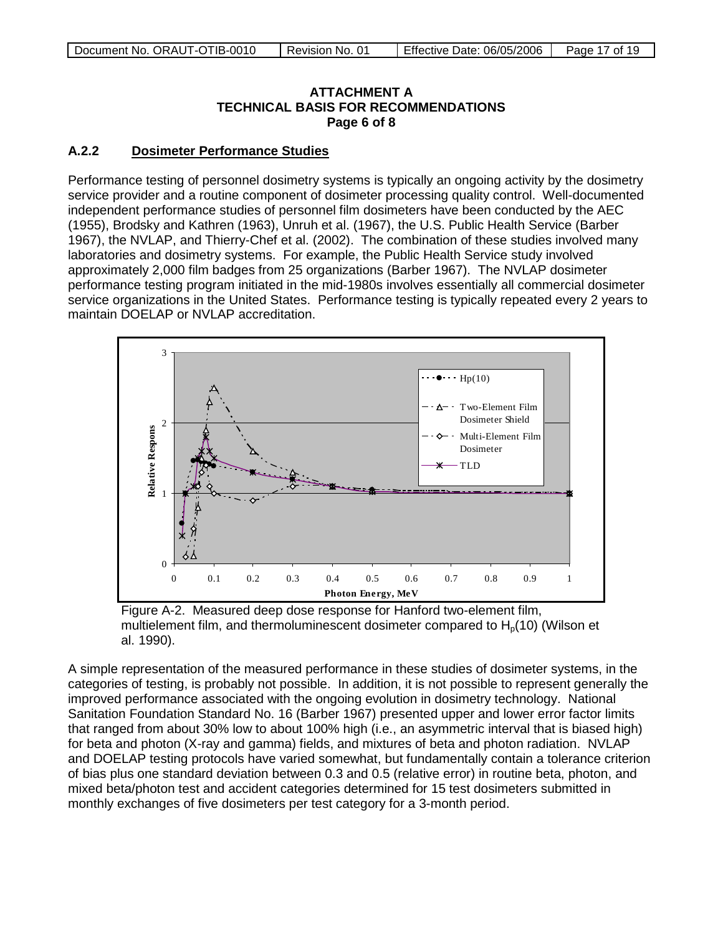### **ATTACHMENT A TECHNICAL BASIS FOR RECOMMENDATIONS Page 6 of 8**

#### **A.2.2 Dosimeter Performance Studies**

Performance testing of personnel dosimetry systems is typically an ongoing activity by the dosimetry service provider and a routine component of dosimeter processing quality control. Well-documented independent performance studies of personnel film dosimeters have been conducted by the AEC (1955), Brodsky and Kathren (1963), Unruh et al. (1967), the U.S. Public Health Service (Barber 1967), the NVLAP, and Thierry-Chef et al. (2002). The combination of these studies involved many laboratories and dosimetry systems. For example, the Public Health Service study involved approximately 2,000 film badges from 25 organizations (Barber 1967). The NVLAP dosimeter performance testing program initiated in the mid-1980s involves essentially all commercial dosimeter service organizations in the United States. Performance testing is typically repeated every 2 years to maintain DOELAP or NVLAP accreditation.



Figure A-2. Measured deep dose response for Hanford two-element film, multielement film, and thermoluminescent dosimeter compared to  $H<sub>0</sub>(10)$  (Wilson et al. 1990).

A simple representation of the measured performance in these studies of dosimeter systems, in the categories of testing, is probably not possible. In addition, it is not possible to represent generally the improved performance associated with the ongoing evolution in dosimetry technology. National Sanitation Foundation Standard No. 16 (Barber 1967) presented upper and lower error factor limits that ranged from about 30% low to about 100% high (i.e., an asymmetric interval that is biased high) for beta and photon (X-ray and gamma) fields, and mixtures of beta and photon radiation. NVLAP and DOELAP testing protocols have varied somewhat, but fundamentally contain a tolerance criterion of bias plus one standard deviation between 0.3 and 0.5 (relative error) in routine beta, photon, and mixed beta/photon test and accident categories determined for 15 test dosimeters submitted in monthly exchanges of five dosimeters per test category for a 3-month period.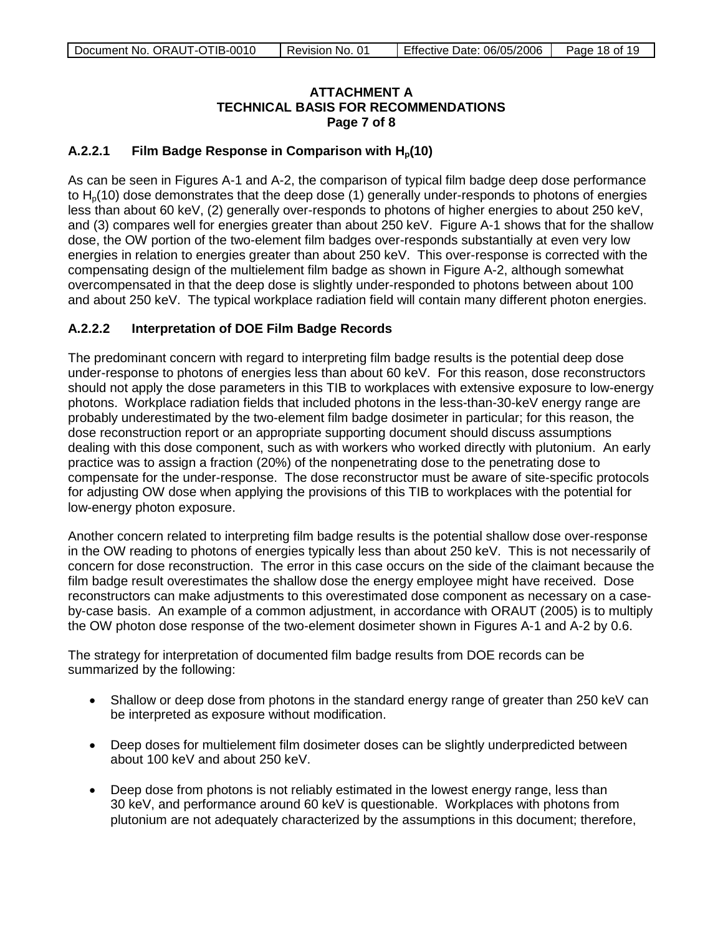### **ATTACHMENT A TECHNICAL BASIS FOR RECOMMENDATIONS Page 7 of 8**

### A.2.2.1 **Film Badge Response in Comparison with H<sub>n</sub>(10)**

As can be seen in Figures A-1 and A-2, the comparison of typical film badge deep dose performance to  $H<sub>0</sub>(10)$  dose demonstrates that the deep dose (1) generally under-responds to photons of energies less than about 60 keV, (2) generally over-responds to photons of higher energies to about 250 keV, and (3) compares well for energies greater than about 250 keV. Figure A-1 shows that for the shallow dose, the OW portion of the two-element film badges over-responds substantially at even very low energies in relation to energies greater than about 250 keV. This over-response is corrected with the compensating design of the multielement film badge as shown in Figure A-2, although somewhat overcompensated in that the deep dose is slightly under-responded to photons between about 100 and about 250 keV. The typical workplace radiation field will contain many different photon energies.

### **A.2.2.2 Interpretation of DOE Film Badge Records**

The predominant concern with regard to interpreting film badge results is the potential deep dose under-response to photons of energies less than about 60 keV. For this reason, dose reconstructors should not apply the dose parameters in this TIB to workplaces with extensive exposure to low-energy photons. Workplace radiation fields that included photons in the less-than-30-keV energy range are probably underestimated by the two-element film badge dosimeter in particular; for this reason, the dose reconstruction report or an appropriate supporting document should discuss assumptions dealing with this dose component, such as with workers who worked directly with plutonium. An early practice was to assign a fraction (20%) of the nonpenetrating dose to the penetrating dose to compensate for the under-response. The dose reconstructor must be aware of site-specific protocols for adjusting OW dose when applying the provisions of this TIB to workplaces with the potential for low-energy photon exposure.

Another concern related to interpreting film badge results is the potential shallow dose over-response in the OW reading to photons of energies typically less than about 250 keV. This is not necessarily of concern for dose reconstruction. The error in this case occurs on the side of the claimant because the film badge result overestimates the shallow dose the energy employee might have received. Dose reconstructors can make adjustments to this overestimated dose component as necessary on a caseby-case basis. An example of a common adjustment, in accordance with ORAUT (2005) is to multiply the OW photon dose response of the two-element dosimeter shown in Figures A-1 and A-2 by 0.6.

The strategy for interpretation of documented film badge results from DOE records can be summarized by the following:

- Shallow or deep dose from photons in the standard energy range of greater than 250 keV can be interpreted as exposure without modification.
- Deep doses for multielement film dosimeter doses can be slightly underpredicted between about 100 keV and about 250 keV.
- Deep dose from photons is not reliably estimated in the lowest energy range, less than 30 keV, and performance around 60 keV is questionable. Workplaces with photons from plutonium are not adequately characterized by the assumptions in this document; therefore,